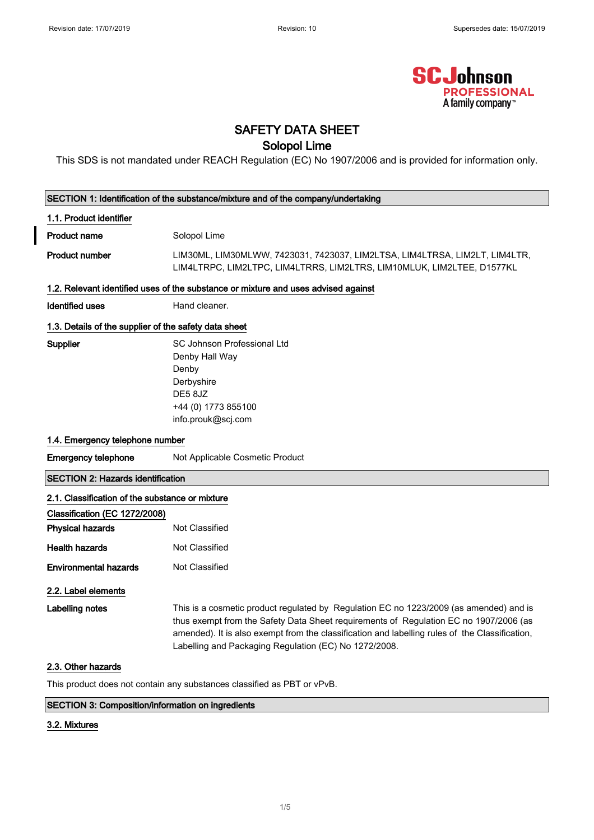

## SAFETY DATA SHEET

### Solopol Lime

This SDS is not mandated under REACH Regulation (EC) No 1907/2006 and is provided for information only.

| SECTION 1: Identification of the substance/mixture and of the company/undertaking |                                                                                                                                                                                                                                                                                                                                            |  |  |
|-----------------------------------------------------------------------------------|--------------------------------------------------------------------------------------------------------------------------------------------------------------------------------------------------------------------------------------------------------------------------------------------------------------------------------------------|--|--|
| 1.1. Product identifier                                                           |                                                                                                                                                                                                                                                                                                                                            |  |  |
| <b>Product name</b>                                                               | Solopol Lime                                                                                                                                                                                                                                                                                                                               |  |  |
| <b>Product number</b>                                                             | LIM30ML, LIM30MLWW, 7423031, 7423037, LIM2LTSA, LIM4LTRSA, LIM2LT, LIM4LTR,<br>LIM4LTRPC, LIM2LTPC, LIM4LTRRS, LIM2LTRS, LIM10MLUK, LIM2LTEE, D1577KL                                                                                                                                                                                      |  |  |
|                                                                                   | 1.2. Relevant identified uses of the substance or mixture and uses advised against                                                                                                                                                                                                                                                         |  |  |
| <b>Identified uses</b>                                                            | Hand cleaner.                                                                                                                                                                                                                                                                                                                              |  |  |
| 1.3. Details of the supplier of the safety data sheet                             |                                                                                                                                                                                                                                                                                                                                            |  |  |
| Supplier                                                                          | SC Johnson Professional Ltd<br>Denby Hall Way<br>Denby<br>Derbyshire<br>DE58JZ<br>+44 (0) 1773 855100<br>info.prouk@scj.com                                                                                                                                                                                                                |  |  |
| 1.4. Emergency telephone number                                                   |                                                                                                                                                                                                                                                                                                                                            |  |  |
| <b>Emergency telephone</b>                                                        | Not Applicable Cosmetic Product                                                                                                                                                                                                                                                                                                            |  |  |
| <b>SECTION 2: Hazards identification</b>                                          |                                                                                                                                                                                                                                                                                                                                            |  |  |
| 2.1. Classification of the substance or mixture                                   |                                                                                                                                                                                                                                                                                                                                            |  |  |
| Classification (EC 1272/2008)                                                     |                                                                                                                                                                                                                                                                                                                                            |  |  |
| <b>Physical hazards</b>                                                           | Not Classified                                                                                                                                                                                                                                                                                                                             |  |  |
| <b>Health hazards</b>                                                             | <b>Not Classified</b>                                                                                                                                                                                                                                                                                                                      |  |  |
| <b>Environmental hazards</b>                                                      | <b>Not Classified</b>                                                                                                                                                                                                                                                                                                                      |  |  |
| 2.2. Label elements                                                               |                                                                                                                                                                                                                                                                                                                                            |  |  |
| Labelling notes                                                                   | This is a cosmetic product regulated by Regulation EC no 1223/2009 (as amended) and is<br>thus exempt from the Safety Data Sheet requirements of Regulation EC no 1907/2006 (as<br>amended). It is also exempt from the classification and labelling rules of the Classification,<br>Labelling and Packaging Regulation (EC) No 1272/2008. |  |  |
| 2.3. Other hazards                                                                |                                                                                                                                                                                                                                                                                                                                            |  |  |
| This product does not contain any substances classified as PBT or vPvB.           |                                                                                                                                                                                                                                                                                                                                            |  |  |
| <b>SECTION 3: Composition/information on ingredients</b>                          |                                                                                                                                                                                                                                                                                                                                            |  |  |

### SECTION 3: Composition/information on ingredients

### 3.2. Mixtures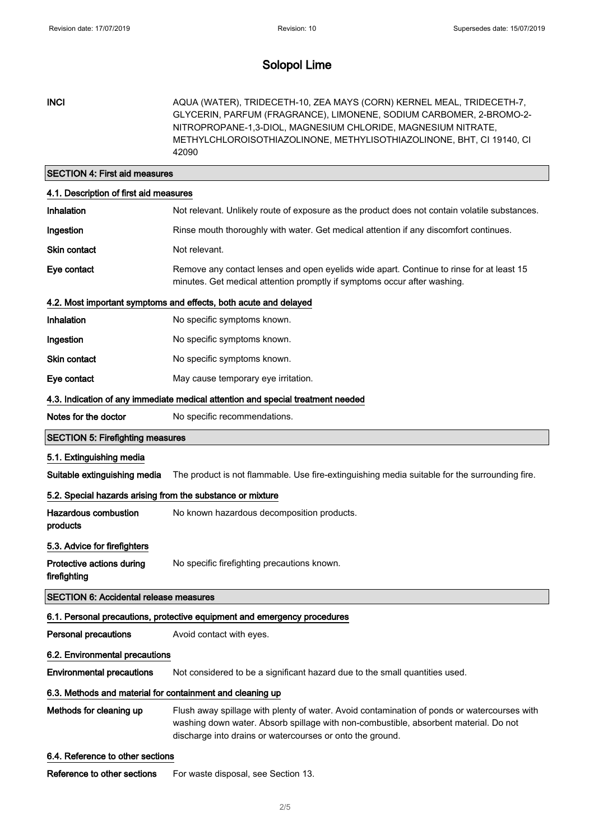INCI AQUA (WATER), TRIDECETH-10, ZEA MAYS (CORN) KERNEL MEAL, TRIDECETH-7, GLYCERIN, PARFUM (FRAGRANCE), LIMONENE, SODIUM CARBOMER, 2-BROMO-2- NITROPROPANE-1,3-DIOL, MAGNESIUM CHLORIDE, MAGNESIUM NITRATE, METHYLCHLOROISOTHIAZOLINONE, METHYLISOTHIAZOLINONE, BHT, CI 19140, CI 42090

### SECTION 4: First aid measures

| 4.1. Description of first aid measures                                          |                                                                                                                                                                                                                                                  |  |
|---------------------------------------------------------------------------------|--------------------------------------------------------------------------------------------------------------------------------------------------------------------------------------------------------------------------------------------------|--|
| Inhalation                                                                      | Not relevant. Unlikely route of exposure as the product does not contain volatile substances.                                                                                                                                                    |  |
| Ingestion                                                                       | Rinse mouth thoroughly with water. Get medical attention if any discomfort continues.                                                                                                                                                            |  |
| <b>Skin contact</b>                                                             | Not relevant.                                                                                                                                                                                                                                    |  |
| Eye contact                                                                     | Remove any contact lenses and open eyelids wide apart. Continue to rinse for at least 15<br>minutes. Get medical attention promptly if symptoms occur after washing.                                                                             |  |
| 4.2. Most important symptoms and effects, both acute and delayed                |                                                                                                                                                                                                                                                  |  |
| Inhalation                                                                      | No specific symptoms known.                                                                                                                                                                                                                      |  |
| Ingestion                                                                       | No specific symptoms known.                                                                                                                                                                                                                      |  |
| Skin contact                                                                    | No specific symptoms known.                                                                                                                                                                                                                      |  |
| Eye contact                                                                     | May cause temporary eye irritation.                                                                                                                                                                                                              |  |
| 4.3. Indication of any immediate medical attention and special treatment needed |                                                                                                                                                                                                                                                  |  |
| Notes for the doctor                                                            | No specific recommendations.                                                                                                                                                                                                                     |  |
| <b>SECTION 5: Firefighting measures</b>                                         |                                                                                                                                                                                                                                                  |  |
| 5.1. Extinguishing media                                                        |                                                                                                                                                                                                                                                  |  |
| Suitable extinguishing media                                                    | The product is not flammable. Use fire-extinguishing media suitable for the surrounding fire.                                                                                                                                                    |  |
| 5.2. Special hazards arising from the substance or mixture                      |                                                                                                                                                                                                                                                  |  |
|                                                                                 |                                                                                                                                                                                                                                                  |  |
| <b>Hazardous combustion</b><br>products                                         | No known hazardous decomposition products.                                                                                                                                                                                                       |  |
| 5.3. Advice for firefighters                                                    |                                                                                                                                                                                                                                                  |  |
| Protective actions during<br>firefighting                                       | No specific firefighting precautions known.                                                                                                                                                                                                      |  |
| <b>SECTION 6: Accidental release measures</b>                                   |                                                                                                                                                                                                                                                  |  |
|                                                                                 | 6.1. Personal precautions, protective equipment and emergency procedures                                                                                                                                                                         |  |
| <b>Personal precautions</b>                                                     | Avoid contact with eyes.                                                                                                                                                                                                                         |  |
| 6.2. Environmental precautions                                                  |                                                                                                                                                                                                                                                  |  |
| <b>Environmental precautions</b>                                                | Not considered to be a significant hazard due to the small quantities used.                                                                                                                                                                      |  |
| 6.3. Methods and material for containment and cleaning up                       |                                                                                                                                                                                                                                                  |  |
| Methods for cleaning up                                                         | Flush away spillage with plenty of water. Avoid contamination of ponds or watercourses with<br>washing down water. Absorb spillage with non-combustible, absorbent material. Do not<br>discharge into drains or watercourses or onto the ground. |  |
| 6.4. Reference to other sections                                                |                                                                                                                                                                                                                                                  |  |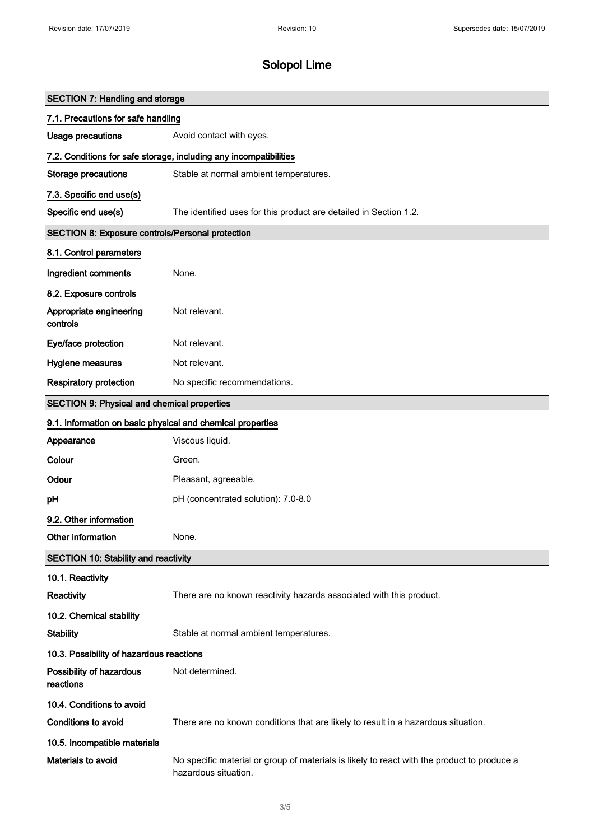| <b>SECTION 7: Handling and storage</b>                            |                                                                                                                     |  |
|-------------------------------------------------------------------|---------------------------------------------------------------------------------------------------------------------|--|
| 7.1. Precautions for safe handling                                |                                                                                                                     |  |
| <b>Usage precautions</b>                                          | Avoid contact with eyes.                                                                                            |  |
| 7.2. Conditions for safe storage, including any incompatibilities |                                                                                                                     |  |
| <b>Storage precautions</b>                                        | Stable at normal ambient temperatures.                                                                              |  |
| 7.3. Specific end use(s)                                          |                                                                                                                     |  |
| Specific end use(s)                                               | The identified uses for this product are detailed in Section 1.2.                                                   |  |
| SECTION 8: Exposure controls/Personal protection                  |                                                                                                                     |  |
| 8.1. Control parameters                                           |                                                                                                                     |  |
| Ingredient comments                                               | None.                                                                                                               |  |
| 8.2. Exposure controls                                            |                                                                                                                     |  |
| Appropriate engineering<br>controls                               | Not relevant.                                                                                                       |  |
| Eye/face protection                                               | Not relevant.                                                                                                       |  |
| Hygiene measures                                                  | Not relevant.                                                                                                       |  |
| <b>Respiratory protection</b>                                     | No specific recommendations.                                                                                        |  |
| <b>SECTION 9: Physical and chemical properties</b>                |                                                                                                                     |  |
| 9.1. Information on basic physical and chemical properties        |                                                                                                                     |  |
| Appearance                                                        | Viscous liquid.                                                                                                     |  |
| Colour                                                            | Green.                                                                                                              |  |
| Odour                                                             | Pleasant, agreeable.                                                                                                |  |
| pH                                                                | pH (concentrated solution): 7.0-8.0                                                                                 |  |
| 9.2. Other information                                            |                                                                                                                     |  |
| Other information                                                 | None.                                                                                                               |  |
| <b>SECTION 10: Stability and reactivity</b>                       |                                                                                                                     |  |
| 10.1. Reactivity                                                  |                                                                                                                     |  |
| Reactivity                                                        | There are no known reactivity hazards associated with this product.                                                 |  |
| 10.2. Chemical stability                                          |                                                                                                                     |  |
| <b>Stability</b>                                                  | Stable at normal ambient temperatures.                                                                              |  |
| 10.3. Possibility of hazardous reactions                          |                                                                                                                     |  |
| Possibility of hazardous<br>reactions                             | Not determined.                                                                                                     |  |
| 10.4. Conditions to avoid                                         |                                                                                                                     |  |
| Conditions to avoid                                               | There are no known conditions that are likely to result in a hazardous situation.                                   |  |
| 10.5. Incompatible materials                                      |                                                                                                                     |  |
| Materials to avoid                                                | No specific material or group of materials is likely to react with the product to produce a<br>hazardous situation. |  |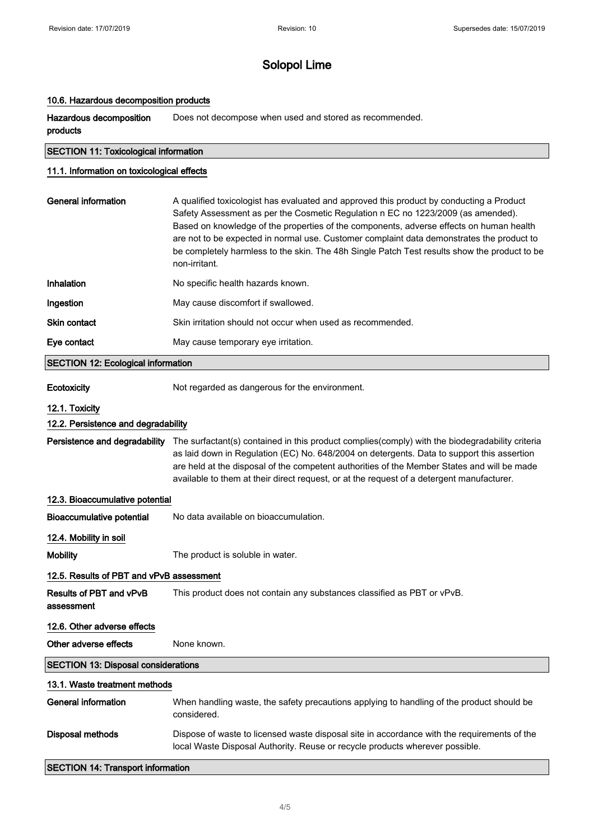### 10.6. Hazardous decomposition products

Hazardous decomposition products Does not decompose when used and stored as recommended.

### SECTION 11: Toxicological information

### 11.1. Information on toxicological effects

| General information | A qualified toxicologist has evaluated and approved this product by conducting a Product<br>Safety Assessment as per the Cosmetic Regulation n EC no 1223/2009 (as amended).<br>Based on knowledge of the properties of the components, adverse effects on human health<br>are not to be expected in normal use. Customer complaint data demonstrates the product to<br>be completely harmless to the skin. The 48h Single Patch Test results show the product to be<br>non-irritant. |
|---------------------|---------------------------------------------------------------------------------------------------------------------------------------------------------------------------------------------------------------------------------------------------------------------------------------------------------------------------------------------------------------------------------------------------------------------------------------------------------------------------------------|
| Inhalation          | No specific health hazards known.                                                                                                                                                                                                                                                                                                                                                                                                                                                     |
| Ingestion           | May cause discomfort if swallowed.                                                                                                                                                                                                                                                                                                                                                                                                                                                    |
| Skin contact        | Skin irritation should not occur when used as recommended.                                                                                                                                                                                                                                                                                                                                                                                                                            |
| Eye contact         | May cause temporary eye irritation.                                                                                                                                                                                                                                                                                                                                                                                                                                                   |
|                     |                                                                                                                                                                                                                                                                                                                                                                                                                                                                                       |

#### SECTION 12: Ecological information

Ecotoxicity Not regarded as dangerous for the environment.

#### 12.1. Toxicity

### 12.2. Persistence and degradability

Persistence and degradability The surfactant(s) contained in this product complies(comply) with the biodegradability criteria as laid down in Regulation (EC) No. 648/2004 on detergents. Data to support this assertion are held at the disposal of the competent authorities of the Member States and will be made available to them at their direct request, or at the request of a detergent manufacturer.

### 12.3. Bioaccumulative potential

Bioaccumulative potential No data available on bioaccumulation.

#### 12.4. Mobility in soil

Mobility **Mobility** The product is soluble in water.

### 12.5. Results of PBT and vPvB assessment

Results of PBT and vPvB assessment This product does not contain any substances classified as PBT or vPvB.

### 12.6. Other adverse effects

Other adverse effects None known.

### SECTION 13: Disposal considerations

### 13.1. Waste treatment methods

| General information | When handling waste, the safety precautions applying to handling of the product should be<br>considered.                                                                    |
|---------------------|-----------------------------------------------------------------------------------------------------------------------------------------------------------------------------|
| Disposal methods    | Dispose of waste to licensed waste disposal site in accordance with the requirements of the<br>local Waste Disposal Authority. Reuse or recycle products wherever possible. |

#### SECTION 14: Transport information